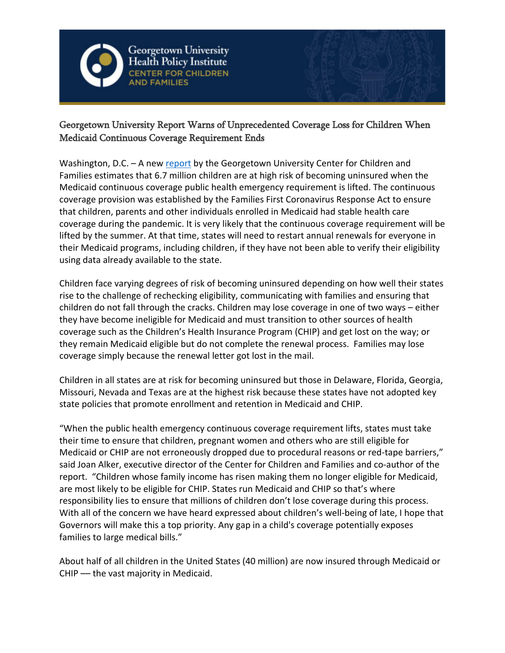

Georgetown University **Health Policy Institute ER FOR CHILDREN** 



## Georgetown University Report Warns of Unprecedented Coverage Loss for Children When Medicaid Continuous Coverage Requirement Ends

Washington, D.C. - A new [report](mailto:https://ccf.georgetown.edu/2022/02/14/millions-of-children-may-lose-medicaid-what-can-be-done-to-help-prevent-them-from-becoming-uninsured/) by the Georgetown University Center for Children and Families estimates that 6.7 million children are at high risk of becoming uninsured when the Medicaid continuous coverage public health emergency requirement is lifted. The continuous coverage provision was established by the Families First Coronavirus Response Act to ensure that children, parents and other individuals enrolled in Medicaid had stable health care coverage during the pandemic. It is very likely that the continuous coverage requirement will be lifted by the summer. At that time, states will need to restart annual renewals for everyone in their Medicaid programs, including children, if they have not been able to verify their eligibility using data already available to the state.

Children face varying degrees of risk of becoming uninsured depending on how well their states rise to the challenge of rechecking eligibility, communicating with families and ensuring that children do not fall through the cracks. Children may lose coverage in one of two ways – either they have become ineligible for Medicaid and must transition to other sources of health coverage such as the Children's Health Insurance Program (CHIP) and get lost on the way; or they remain Medicaid eligible but do not complete the renewal process. Families may lose coverage simply because the renewal letter got lost in the mail.

Children in all states are at risk for becoming uninsured but those in Delaware, Florida, Georgia, Missouri, Nevada and Texas are at the highest risk because these states have not adopted key state policies that promote enrollment and retention in Medicaid and CHIP.

"When the public health emergency continuous coverage requirement lifts, states must take their time to ensure that children, pregnant women and others who are still eligible for Medicaid or CHIP are not erroneously dropped due to procedural reasons or red-tape barriers," said Joan Alker, executive director of the Center for Children and Families and co-author of the report. "Children whose family income has risen making them no longer eligible for Medicaid, are most likely to be eligible for CHIP. States run Medicaid and CHIP so that's where responsibility lies to ensure that millions of children don't lose coverage during this process. With all of the concern we have heard expressed about children's well-being of late, I hope that Governors will make this a top priority. Any gap in a child's coverage potentially exposes families to large medical bills."

About half of all children in the United States (40 million) are now insured through Medicaid or CHIP –– the vast majority in Medicaid.